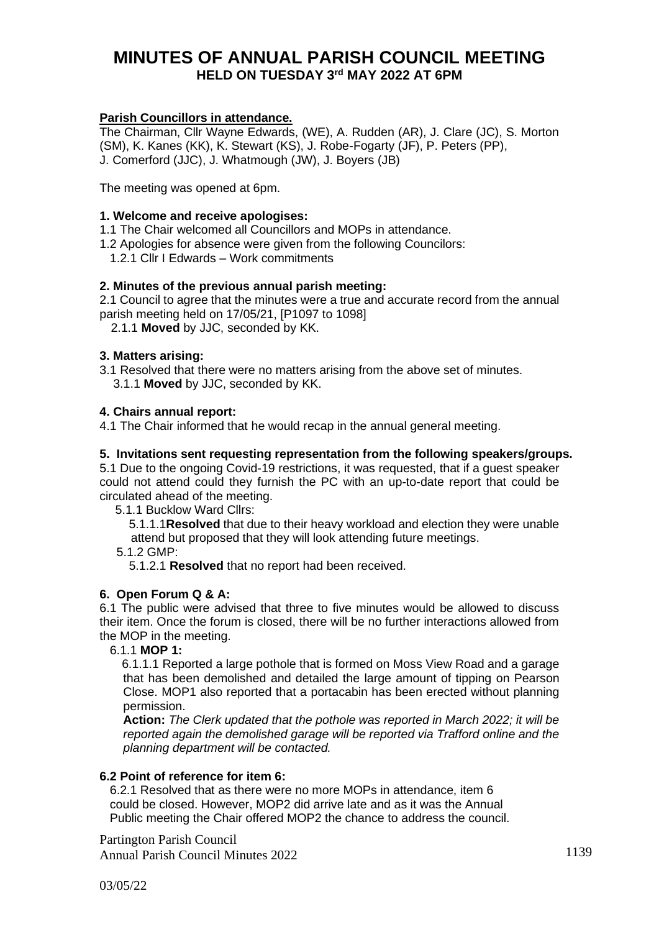# **MINUTES OF ANNUAL PARISH COUNCIL MEETING HELD ON TUESDAY 3 rd MAY 2022 AT 6PM**

# **Parish Councillors in attendance.**

The Chairman, Cllr Wayne Edwards, (WE), A. Rudden (AR), J. Clare (JC), S. Morton (SM), K. Kanes (KK), K. Stewart (KS), J. Robe-Fogarty (JF), P. Peters (PP), J. Comerford (JJC), J. Whatmough (JW), J. Boyers (JB)

The meeting was opened at 6pm.

# **1. Welcome and receive apologises:**

1.1 The Chair welcomed all Councillors and MOPs in attendance.

1.2 Apologies for absence were given from the following Councilors:

1.2.1 Cllr I Edwards – Work commitments

# **2. Minutes of the previous annual parish meeting:**

2.1 Council to agree that the minutes were a true and accurate record from the annual parish meeting held on 17/05/21, [P1097 to 1098]

2.1.1 **Moved** by JJC, seconded by KK.

# **3. Matters arising:**

3.1 Resolved that there were no matters arising from the above set of minutes.

3.1.1 **Moved** by JJC, seconded by KK.

# **4. Chairs annual report:**

4.1 The Chair informed that he would recap in the annual general meeting.

# **5. Invitations sent requesting representation from the following speakers/groups.**

5.1 Due to the ongoing Covid-19 restrictions, it was requested, that if a guest speaker could not attend could they furnish the PC with an up-to-date report that could be circulated ahead of the meeting.

5.1.1 Bucklow Ward Cllrs:

 5.1.1.1**Resolved** that due to their heavy workload and election they were unable attend but proposed that they will look attending future meetings.

5.1.2 GMP:

5.1.2.1 **Resolved** that no report had been received.

# **6. Open Forum Q & A:**

6.1 The public were advised that three to five minutes would be allowed to discuss their item. Once the forum is closed, there will be no further interactions allowed from the MOP in the meeting.

6.1.1 **MOP 1:** 

 6.1.1.1 Reported a large pothole that is formed on Moss View Road and a garage that has been demolished and detailed the large amount of tipping on Pearson Close. MOP1 also reported that a portacabin has been erected without planning permission.

 **Action:** *The Clerk updated that the pothole was reported in March 2022; it will be reported again the demolished garage will be reported via Trafford online and the planning department will be contacted.*

# **6.2 Point of reference for item 6:**

 6.2.1 Resolved that as there were no more MOPs in attendance, item 6 could be closed. However, MOP2 did arrive late and as it was the Annual Public meeting the Chair offered MOP2 the chance to address the council.

Partington Parish Council Annual Parish Council Minutes 2022